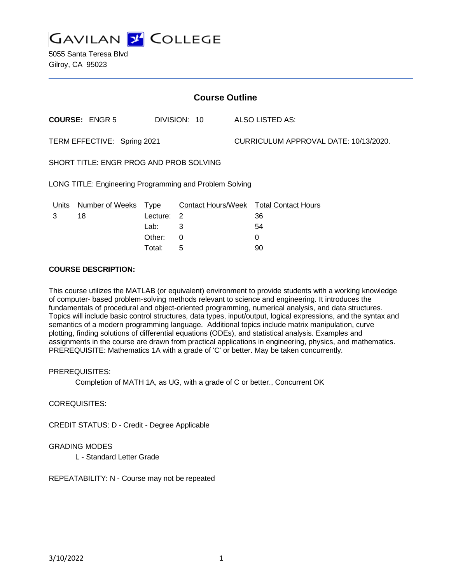

5055 Santa Teresa Blvd Gilroy, CA 95023

| <b>Course Outline</b>                                   |                       |             |                           |                                       |                            |
|---------------------------------------------------------|-----------------------|-------------|---------------------------|---------------------------------------|----------------------------|
|                                                         | <b>COURSE: ENGR 5</b> |             | DIVISION: 10              |                                       | ALSO LISTED AS:            |
| TERM EFFECTIVE: Spring 2021                             |                       |             |                           | CURRICULUM APPROVAL DATE: 10/13/2020. |                            |
| SHORT TITLE: ENGR PROG AND PROB SOLVING                 |                       |             |                           |                                       |                            |
| LONG TITLE: Engineering Programming and Problem Solving |                       |             |                           |                                       |                            |
| <b>Units</b>                                            | Number of Weeks       | <u>Type</u> | <b>Contact Hours/Week</b> |                                       | <b>Total Contact Hours</b> |
| 3                                                       | 18                    | Lecture:    | $\overline{2}$            |                                       | 36                         |
|                                                         |                       | Lab:        | 3                         |                                       | 54                         |
|                                                         |                       | Other:      | 0                         |                                       | 0                          |
|                                                         |                       | Total:      | 5                         |                                       | 90                         |

#### **COURSE DESCRIPTION:**

This course utilizes the MATLAB (or equivalent) environment to provide students with a working knowledge of computer- based problem-solving methods relevant to science and engineering. It introduces the fundamentals of procedural and object-oriented programming, numerical analysis, and data structures. Topics will include basic control structures, data types, input/output, logical expressions, and the syntax and semantics of a modern programming language. Additional topics include matrix manipulation, curve plotting, finding solutions of differential equations (ODEs), and statistical analysis. Examples and assignments in the course are drawn from practical applications in engineering, physics, and mathematics. PREREQUISITE: Mathematics 1A with a grade of 'C' or better. May be taken concurrently.

PREREQUISITES:

Completion of MATH 1A, as UG, with a grade of C or better., Concurrent OK

COREQUISITES:

CREDIT STATUS: D - Credit - Degree Applicable

#### GRADING MODES

L - Standard Letter Grade

REPEATABILITY: N - Course may not be repeated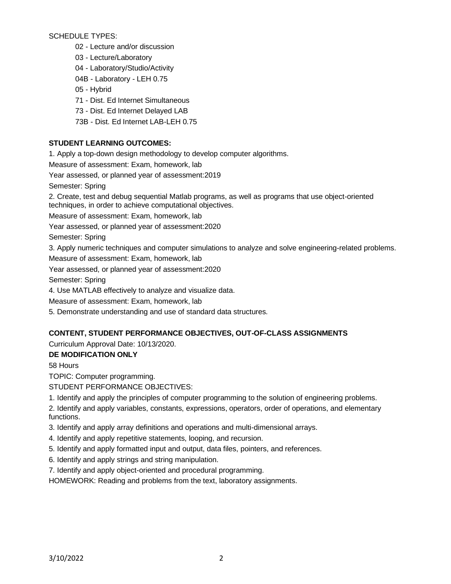SCHEDULE TYPES:

- 02 Lecture and/or discussion
- 03 Lecture/Laboratory
- 04 Laboratory/Studio/Activity
- 04B Laboratory LEH 0.75
- 05 Hybrid
- 71 Dist. Ed Internet Simultaneous
- 73 Dist. Ed Internet Delayed LAB
- 73B Dist. Ed Internet LAB-LEH 0.75

# **STUDENT LEARNING OUTCOMES:**

1. Apply a top-down design methodology to develop computer algorithms.

Measure of assessment: Exam, homework, lab

Year assessed, or planned year of assessment:2019

Semester: Spring

2. Create, test and debug sequential Matlab programs, as well as programs that use object-oriented techniques, in order to achieve computational objectives.

Measure of assessment: Exam, homework, lab

Year assessed, or planned year of assessment:2020

Semester: Spring

3. Apply numeric techniques and computer simulations to analyze and solve engineering-related problems.

Measure of assessment: Exam, homework, lab

Year assessed, or planned year of assessment:2020

Semester: Spring

4. Use MATLAB effectively to analyze and visualize data.

Measure of assessment: Exam, homework, lab

5. Demonstrate understanding and use of standard data structures.

## **CONTENT, STUDENT PERFORMANCE OBJECTIVES, OUT-OF-CLASS ASSIGNMENTS**

Curriculum Approval Date: 10/13/2020.

## **DE MODIFICATION ONLY**

58 Hours

TOPIC: Computer programming.

STUDENT PERFORMANCE OBJECTIVES:

1. Identify and apply the principles of computer programming to the solution of engineering problems.

2. Identify and apply variables, constants, expressions, operators, order of operations, and elementary functions.

- 3. Identify and apply array definitions and operations and multi-dimensional arrays.
- 4. Identify and apply repetitive statements, looping, and recursion.
- 5. Identify and apply formatted input and output, data files, pointers, and references.
- 6. Identify and apply strings and string manipulation.
- 7. Identify and apply object-oriented and procedural programming.

HOMEWORK: Reading and problems from the text, laboratory assignments.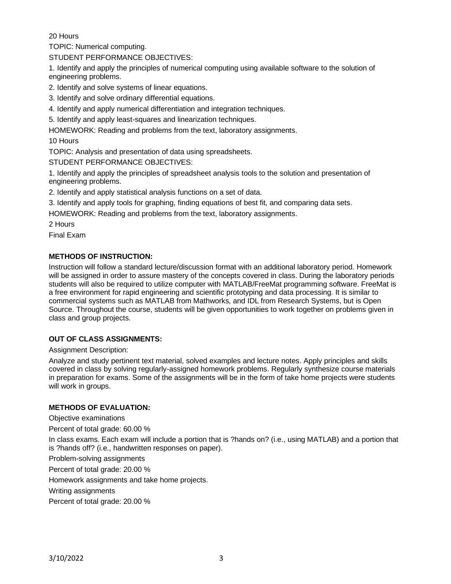20 Hours

TOPIC: Numerical computing.

STUDENT PERFORMANCE OBJECTIVES:

1. Identify and apply the principles of numerical computing using available software to the solution of engineering problems.

2. Identify and solve systems of linear equations.

3. Identify and solve ordinary differential equations.

4. Identify and apply numerical differentiation and integration techniques.

5. Identify and apply least-squares and linearization techniques.

HOMEWORK: Reading and problems from the text, laboratory assignments.

10 Hours

TOPIC: Analysis and presentation of data using spreadsheets.

STUDENT PERFORMANCE OBJECTIVES:

1. Identify and apply the principles of spreadsheet analysis tools to the solution and presentation of engineering problems.

2. Identify and apply statistical analysis functions on a set of data.

3. Identify and apply tools for graphing, finding equations of best fit, and comparing data sets.

HOMEWORK: Reading and problems from the text, laboratory assignments.

2 Hours

Final Exam

## **METHODS OF INSTRUCTION:**

Instruction will follow a standard lecture/discussion format with an additional laboratory period. Homework will be assigned in order to assure mastery of the concepts covered in class. During the laboratory periods students will also be required to utilize computer with MATLAB/FreeMat programming software. FreeMat is a free environment for rapid engineering and scientific prototyping and data processing. It is similar to commercial systems such as MATLAB from Mathworks, and IDL from Research Systems, but is Open Source. Throughout the course, students will be given opportunities to work together on problems given in class and group projects.

## **OUT OF CLASS ASSIGNMENTS:**

Assignment Description:

Analyze and study pertinent text material, solved examples and lecture notes. Apply principles and skills covered in class by solving regularly-assigned homework problems. Regularly synthesize course materials in preparation for exams. Some of the assignments will be in the form of take home projects were students will work in groups.

#### **METHODS OF EVALUATION:**

Objective examinations

Percent of total grade: 60.00 %

In class exams. Each exam will include a portion that is ?hands on? (i.e., using MATLAB) and a portion that is ?hands off? (i.e., handwritten responses on paper).

Problem-solving assignments

Percent of total grade: 20.00 %

Homework assignments and take home projects.

Writing assignments

Percent of total grade: 20.00 %